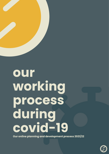

**Our online planning and development process 2021/22**

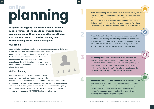**2**

**3**

**4**

## **online planning**

**In light of the ongoing COVID-19 situation, we have made a number of changes to our website design planning process. These changes will ensure that we can continue to offer a cohesive planning and development process without disruption.**

#### **Our set-up**

Suspire Media operate as a collective of website developers and designers. We do not work from a shared central office; instead, we operate from our own individual studios or offices. We have always worked this way and therefore do not anticipate any disruption or difficulties providing services. All of our team members have over 20 years of experience and offer a specific set of digital design skills.

#### **Online planning**

Like many, we are trying to reduce the enormous pressure on our health service by observing social distancing recommendations. Therefore, until further notice, all face-toface planning sessions will be conducted remotely via video conferencing software such as Skype, Zoom, Teams etc. Online meetings will be quickly set up and scheduled around your team's availability. If you have any questions, contact us on 01747 832243 or info@suspire.co.uk.

**Site Mapping Meeting:** Now that we know your audience, we can identify and then prioritise pages by developing and refining a website map. The website map will enable us to identify the required page layouts, design a coherent, hierarchical site structure and plan navigation. We will also discuss functionality, accessibility, usability and develop a Search Engine Optimisation (SEO) strategy.

**Introduction Meeting**: Our first meeting is an informal 'discovery session', generally attended by the primary stakeholders. It is often conducted before the submission of a quotation/proposal. During this session, we will discuss the requirements of the project, consider any potential challenges and review the website development process. We will also use this meeting to get to know each other and ask/answer questions.

**Target Audience Meeting:** After the quotation is accepted, we will conduct our first planning session. During this meeting, we will focus entirely on your target audience. We will learn who they are and what they want to achieve. We will also try to prioritise any audience subgroups and identify browsing environments and devices used.

**Website wire-frames and page templates:** Prior to this meeting, you will have received a number of digital webpage templates. During the session, we will concentrate on these screens and discuss; identity, colour, typography, graphics, photography and page content. The feedback we receive during this session will help us refine, adjust and improve the page templates.



တို့

旧

෯